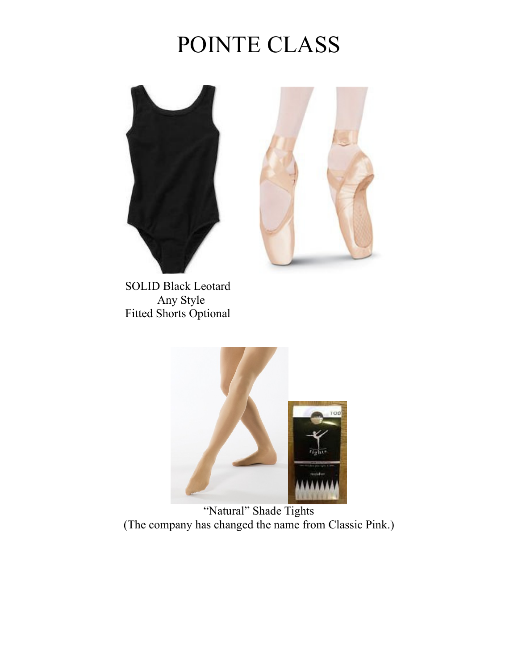# POINTE CLASS





 SOLID Black Leotard Any Style Fitted Shorts Optional



"Natural" Shade Tights (The company has changed the name from Classic Pink.)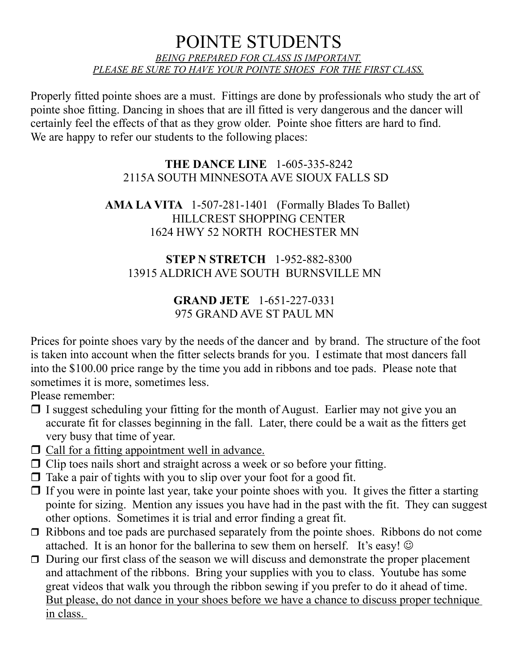## POINTE STUDENTS *BEING PREPARED FOR CLASS IS IMPORTANT. PLEASE BE SURE TO HAVE YOUR POINTE SHOES FOR THE FIRST CLASS.*

Properly fitted pointe shoes are a must. Fittings are done by professionals who study the art of pointe shoe fitting. Dancing in shoes that are ill fitted is very dangerous and the dancer will certainly feel the effects of that as they grow older. Pointe shoe fitters are hard to find. We are happy to refer our students to the following places:

#### **THE DANCE LINE** 1-605-335-8242 2115A SOUTH MINNESOTA AVE SIOUX FALLS SD

### **AMA LA VITA** 1-507-281-1401 (Formally Blades To Ballet) HILLCREST SHOPPING CENTER 1624 HWY 52 NORTH ROCHESTER MN

### **STEP N STRETCH** 1-952-882-8300 13915 ALDRICH AVE SOUTH BURNSVILLE MN

#### **GRAND JETE** 1-651-227-0331 975 GRAND AVE ST PAUL MN

Prices for pointe shoes vary by the needs of the dancer and by brand. The structure of the foot is taken into account when the fitter selects brands for you. I estimate that most dancers fall into the \$100.00 price range by the time you add in ribbons and toe pads. Please note that sometimes it is more, sometimes less.

Please remember:

- $\Box$  I suggest scheduling your fitting for the month of August. Earlier may not give you an accurate fit for classes beginning in the fall. Later, there could be a wait as the fitters get very busy that time of year.
- □ Call for a fitting appointment well in advance.
- ❒ Clip toes nails short and straight across a week or so before your fitting.
- $\Box$  Take a pair of tights with you to slip over your foot for a good fit.
- $\Box$  If you were in pointe last year, take your pointe shoes with you. It gives the fitter a starting pointe for sizing. Mention any issues you have had in the past with the fit. They can suggest other options. Sometimes it is trial and error finding a great fit.
- ❒ Ribbons and toe pads are purchased separately from the pointe shoes. Ribbons do not come attached. It is an honor for the ballerina to sew them on herself. It's easy!  $\odot$
- ❒ During our first class of the season we will discuss and demonstrate the proper placement and attachment of the ribbons. Bring your supplies with you to class. Youtube has some great videos that walk you through the ribbon sewing if you prefer to do it ahead of time. But please, do not dance in your shoes before we have a chance to discuss proper technique in class.